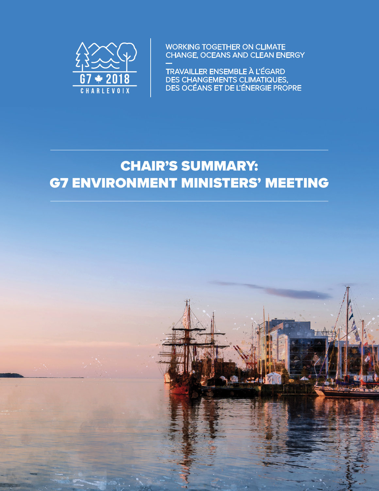

**WORKING TOGETHER ON CLIMATE** CHANGE, OCEANS AND CLEAN ENERGY

TRAVAILLER ENSEMBLE À L'ÉGARD<br>DES CHANGEMENTS CLIMATIQUES,<br>DES OCÉANS ET DE L'ÉNERGIE PROPRE

|<br>|<br>|

# CHAIR'S SUMMARY: G7 ENVIRONMENT MINISTERS' MEETING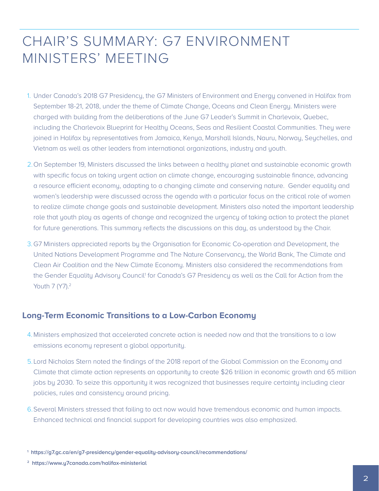## CHAIR'S SUMMARY: G7 ENVIRONMENT MINISTERS' MEETING

- 1. Under Canada's 2018 G7 Presidency, the G7 Ministers of Environment and Energy convened in Halifax from September 18-21, 2018, under the theme of Climate Change, Oceans and Clean Energy. Ministers were charged with building from the deliberations of the June G7 Leader's Summit in Charlevoix, Quebec, including the Charlevoix Blueprint for Healthy Oceans, Seas and Resilient Coastal Communities. They were joined in Halifax by representatives from Jamaica, Kenya, Marshall Islands, Nauru, Norway, Seychelles, and Vietnam as well as other leaders from international organizations, industry and youth.
- 2.On September 19, Ministers discussed the links between a healthy planet and sustainable economic growth with specific focus on taking urgent action on climate change, encouraging sustainable finance, advancing a resource efficient economy, adapting to a changing climate and conserving nature. Gender equality and women's leadership were discussed across the agenda with a particular focus on the critical role of women to realize climate change goals and sustainable development. Ministers also noted the important leadership role that youth play as agents of change and recognized the urgency of taking action to protect the planet for future generations. This summary reflects the discussions on this day, as understood by the Chair.
- 3.G7 Ministers appreciated reports by the Organisation for Economic Co-operation and Development, the United Nations Development Programme and The Nature Conservancy, the World Bank, The Climate and Clean Air Coalition and the New Climate Economy. Ministers also considered the recommendations from the Gender Equality Advisory Council<sup>1</sup> for Canada's G7 Presidency as well as the Call for Action from the Youth 7 (Y7).<sup>2</sup>

#### **Long-Term Economic Transitions to a Low-Carbon Economy**

- 4.Ministers emphasized that accelerated concrete action is needed now and that the transitions to a low emissions economy represent a global opportunity.
- 5.Lord Nicholas Stern noted the findings of the 2018 report of the Global Commission on the Economy and Climate that climate action represents an opportunity to create \$26 trillion in economic growth and 65 million jobs by 2030. To seize this opportunity it was recognized that businesses require certainty including clear policies, rules and consistency around pricing.
- 6.Several Ministers stressed that failing to act now would have tremendous economic and human impacts. Enhanced technical and financial support for developing countries was also emphasized.

**<sup>1</sup> https://g7.gc.ca/en/g7-presidency/gender-equality-advisory-council/recommendations/**

**<sup>2</sup> https://www.y7canada.com/halifax-ministerial**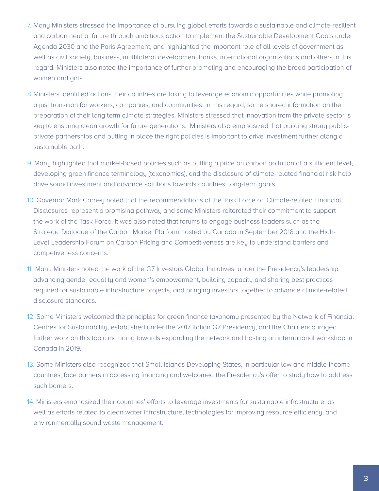- 7. Many Ministers stressed the importance of pursuing global efforts towards a sustainable and climate-resilient and carbon neutral future through ambitious action to implement the Sustainable Development Goals under Agenda 2030 and the Paris Agreement, and highlighted the important role of all levels of government as well as civil society, business, multilateral development banks, international organizations and others in this regard. Ministers also noted the importance of further promoting and encouraging the broad participation of women and girls.
- 8.Ministers identified actions their countries are taking to leverage economic opportunities while promoting a just transition for workers, companies, and communities. In this regard, some shared information on the preparation of their long term climate strategies. Ministers stressed that innovation from the private sector is key to ensuring clean growth for future generations. Ministers also emphasized that building strong publicprivate partnerships and putting in place the right policies is important to drive investment further along a sustainable path.
- 9. Many highlighted that market-based policies such as putting a price on carbon pollution at a sufficient level, developing green finance terminology (taxonomies), and the disclosure of climate-related financial risk help drive sound investment and advance solutions towards countries' long-term goals.
- 10. Governor Mark Carney noted that the recommendations of the Task Force on Climate-related Financial Disclosures represent a promising pathway and some Ministers reiterated their commitment to support the work of the Task Force. It was also noted that forums to engage business leaders such as the Strategic Dialogue of the Carbon Market Platform hosted by Canada in September 2018 and the High-Level Leadership Forum on Carbon Pricing and Competitiveness are key to understand barriers and competiveness concerns.
- 11. Many Ministers noted the work of the G7 Investors Global Initiatives, under the Presidency's leadership, advancing gender equality and women's empowerment, building capacity and sharing best practices required for sustainable infrastructure projects, and bringing investors together to advance climate-related disclosure standards.
- 12. Some Ministers welcomed the principles for green finance taxonomy presented by the Network of Financial Centres for Sustainability, established under the 2017 Italian G7 Presidency, and the Chair encouraged further work on this topic including towards expanding the network and hosting an international workshop in Canada in 2019.
- 13. Some Ministers also recognized that Small Islands Developing States, in particular low and middle-income countries, face barriers in accessing financing and welcomed the Presidency's offer to study how to address such barriers.
- 14. Ministers emphasized their countries' efforts to leverage investments for sustainable infrastructure, as well as efforts related to clean water infrastructure, technologies for improving resource efficiency, and environmentally sound waste management.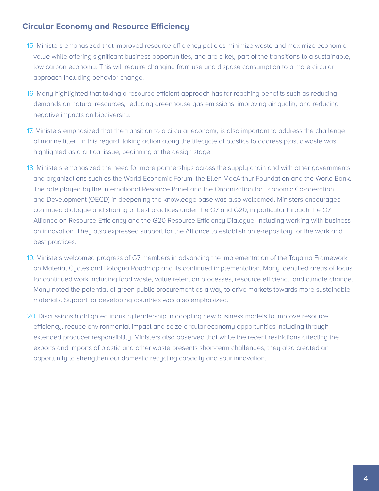#### **Circular Economy and Resource Efficiency**

- 15. Ministers emphasized that improved resource efficiency policies minimize waste and maximize economic value while offering significant business opportunities, and are a key part of the transitions to a sustainable, low carbon economy. This will require changing from use and dispose consumption to a more circular approach including behavior change.
- 16. Many highlighted that taking a resource efficient approach has far reaching benefits such as reducing demands on natural resources, reducing greenhouse gas emissions, improving air quality and reducing negative impacts on biodiversity.
- 17. Ministers emphasized that the transition to a circular economy is also important to address the challenge of marine litter. In this regard, taking action along the lifecycle of plastics to address plastic waste was highlighted as a critical issue, beginning at the design stage.
- 18. Ministers emphasized the need for more partnerships across the supply chain and with other governments and organizations such as the World Economic Forum, the Ellen MacArthur Foundation and the World Bank. The role played by the International Resource Panel and the Organization for Economic Co-operation and Development (OECD) in deepening the knowledge base was also welcomed. Ministers encouraged continued dialogue and sharing of best practices under the G7 and G20, in particular through the G7 Alliance on Resource Efficiency and the G20 Resource Efficiency Dialogue, including working with business on innovation. They also expressed support for the Alliance to establish an e-repository for the work and best practices.
- 19. Ministers welcomed progress of G7 members in advancing the implementation of the Toyama Framework on Material Cycles and Bologna Roadmap and its continued implementation. Many identified areas of focus for continued work including food waste, value retention processes, resource efficiency and climate change. Many noted the potential of green public procurement as a way to drive markets towards more sustainable materials. Support for developing countries was also emphasized.
- 20. Discussions highlighted industry leadership in adopting new business models to improve resource efficiency, reduce environmental impact and seize circular economy opportunities including through extended producer responsibility. Ministers also observed that while the recent restrictions affecting the exports and imports of plastic and other waste presents short-term challenges, they also created an opportunity to strengthen our domestic recycling capacity and spur innovation.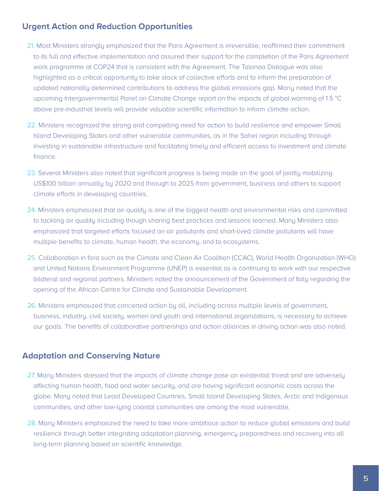### **Urgent Action and Reduction Opportunities**

- 21. Most Ministers strongly emphasized that the Paris Agreement is irreversible, reaffirmed their commitment to its full and effective implementation and assured their support for the completion of the Paris Agreement work programme at COP24 that is consistent with the Agreement. The Talanoa Dialogue was also highlighted as a critical opportunity to take stock of collective efforts and to inform the preparation of updated nationally determined contributions to address the global emissions gap. Many noted that the upcoming Intergovernmental Panel on Climate Change report on the impacts of global warming of 1.5 °C above pre-industrial levels will provide valuable scientific information to inform climate action.
- 22. Ministers recognized the strong and compelling need for action to build resilience and empower Small Island Developing States and other vulnerable communities, as in the Sahel region including through investing in sustainable infrastructure and facilitating timely and efficient access to investment and climate finance.
- 23. Several Ministers also noted that significant progress is being made on the goal of jointly mobilizing US\$100 billion annually by 2020 and through to 2025 from government, business and others to support climate efforts in developing countries.
- 24. Ministers emphasized that air quality is one of the biggest health and environmental risks and committed to tackling air quality including though sharing best practices and lessons learned. Many Ministers also emphasized that targeted efforts focused on air pollutants and short-lived climate pollutants will have multiple benefits to climate, human health, the economy, and to ecosystems.
- 25. Collaboration in fora such as the Climate and Clean Air Coalition (CCAC), World Health Organization (WHO) and United Nations Environment Programme (UNEP) is essential as is continuing to work with our respective bilateral and regional partners. Ministers noted the announcement of the Government of Italy regarding the opening of the African Centre for Climate and Sustainable Development.
- 26. Ministers emphasized that concerted action by all, including across multiple levels of government, business, industry, civil society, women and youth and international organizations, is necessary to achieve our goals. The benefits of collaborative partnerships and action alliances in driving action was also noted.

#### **Adaptation and Conserving Nature**

- 27. Many Ministers stressed that the impacts of climate change pose an existential threat and are adversely affecting human health, food and water security, and are having significant economic costs across the globe. Many noted that Least Developed Countries, Small Island Developing States, Arctic and Indigenous communities, and other low-lying coastal communities are among the most vulnerable.
- 28. Many Ministers emphasized the need to take more ambitious action to reduce global emissions and build resilience through better integrating adaptation planning, emergency preparedness and recovery into all long-term planning based on scientific knowledge.